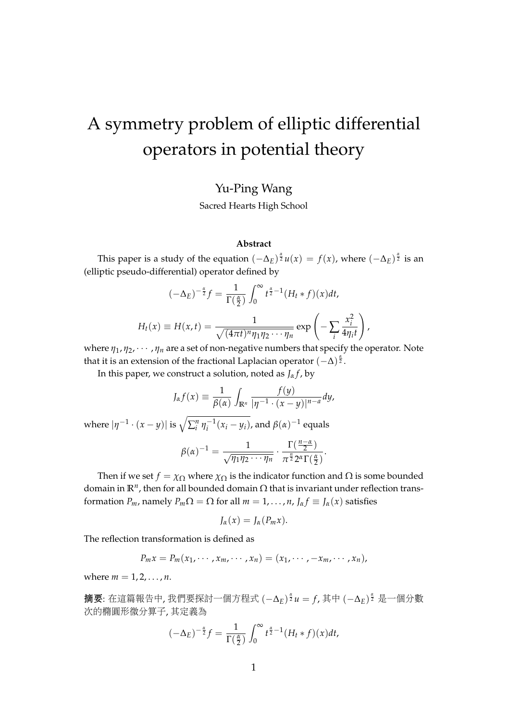# A symmetry problem of elliptic differential operators in potential theory

### Yu-Ping Wang

Sacred Hearts High School

#### **Abstract**

This paper is a study of the equation  $(-\Delta_E)^{\frac{\alpha}{2}}u(x) = f(x)$ , where  $(-\Delta_E)^{\frac{\alpha}{2}}$  is an (elliptic pseudo-differential) operator defined by

$$
(-\Delta_E)^{-\frac{\alpha}{2}}f = \frac{1}{\Gamma(\frac{\alpha}{2})} \int_0^{\infty} t^{\frac{\alpha}{2}-1} (H_t * f)(x) dt,
$$
  

$$
H_t(x) \equiv H(x, t) = \frac{1}{\sqrt{(4\pi t)^n \eta_1 \eta_2 \cdots \eta_n}} \exp\left(-\sum_i \frac{x_i^2}{4\eta_i t}\right)
$$

where  $η_1, η_2, · · · , η_n$  are a set of non-negative numbers that specify the operator. Note that it is an extension of the fractional Laplacian operator (−∆) *α* 2 .

,

In this paper, we construct a solution, noted as  $J_{\alpha}f$ , by

$$
J_{\alpha}f(x) \equiv \frac{1}{\beta(\alpha)} \int_{\mathbb{R}^n} \frac{f(y)}{|\eta^{-1} \cdot (x - y)|^{n - a}} dy,
$$
  
where  $|\eta^{-1} \cdot (x - y)|$  is  $\sqrt{\sum_{i=1}^n \eta_i^{-1}(x_i - y_i)}$ , and  $\beta(\alpha)^{-1}$  equals

$$
\beta(\alpha)^{-1} = \frac{1}{\sqrt{\eta_1\eta_2\cdots\eta_n}}\cdot\frac{\Gamma(\frac{n-\alpha}{2})}{\pi^{\frac{n}{2}}2^{\alpha}\Gamma(\frac{\alpha}{2})}.
$$

Then if we set *f* =  $\chi_{\Omega}$  where  $\chi_{\Omega}$  is the indicator function and  $\Omega$  is some bounded domain in  $\mathbb{R}^n$ , then for all bounded domain  $\Omega$  that is invariant under reflection transformation *P<sub>m</sub>*, namely  $P_m \Omega = \Omega$  for all  $m = 1, ..., n$ ,  $J_\alpha f \equiv J_\alpha(x)$  satisfies

$$
J_{\alpha}(x)=J_{\alpha}(P_mx).
$$

The reflection transformation is defined as

$$
P_m x = P_m(x_1, \cdots, x_m, \cdots, x_n) = (x_1, \cdots, -x_m, \cdots, x_n),
$$

where  $m = 1, 2, ..., n$ .

摘要: 在這篇報告中, 我們要探討一個方程式 (−Δ*E*) <sup>ร</sup>ิน = f, 其中 (−Δ*E*) ริ 是一個分數<br>次的體風形徵公算了, 其字差为 次的橢圓形微分算子, <sup>其</sup>定義<sup>為</sup>

$$
(-\Delta_E)^{-\frac{\alpha}{2}}f = \frac{1}{\Gamma(\frac{\alpha}{2})} \int_0^\infty t^{\frac{\alpha}{2}-1} (H_t * f)(x) dt,
$$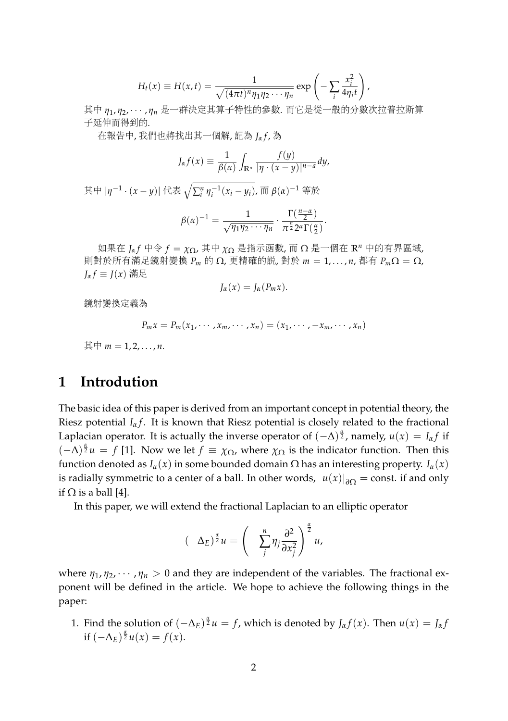$$
H_t(x) \equiv H(x,t) = \frac{1}{\sqrt{(4\pi t)^n \eta_1 \eta_2 \cdots \eta_n}} \exp \left(-\sum_i \frac{x_i^2}{4\eta_i t}\right),
$$

其中 *η*1,η2, · · · ,ηn 是一群決定其算子特性的参數. 而它是從一般的分數次拉普拉斯算<br>了延伸而得到的 <sup>子</sup>延伸而得到的.

<sup>在</sup>報告中, <sup>我</sup>們也將找出其一個解, <sup>記</sup><sup>為</sup> *<sup>J</sup><sup>α</sup> <sup>f</sup>* , <sup>為</sup>

$$
J_{\alpha}f(x)\equiv \frac{1}{\beta(\alpha)}\int_{\mathbb{R}^n}\frac{f(y)}{|\eta\cdot(x-y)|^{n-a}}dy,
$$

其中  $|\eta^{-1} \cdot (x - y)|$  代表  $\sqrt{\sum_{i}^{n} \eta_{i}^{-1}(x_{i} - y_{i})}$ , 而 β(α)<sup>-1</sup> 等於

$$
\beta(\alpha)^{-1} = \frac{1}{\sqrt{\eta_1 \eta_2 \cdots \eta_n}} \cdot \frac{\Gamma(\frac{n-\alpha}{2})}{\pi^{\frac{n}{2}} 2^{\alpha} \Gamma(\frac{\alpha}{2})}.
$$

<sup>如</sup>果<sup>在</sup> *<sup>J</sup><sup>α</sup> <sup>f</sup>* 中令 *<sup>f</sup>* <sup>=</sup> *<sup>χ</sup>*Ω, <sup>其</sup><sup>中</sup> *<sup>χ</sup>*<sup>Ω</sup> <sup>是</sup>指示函數, <sup>而</sup> <sup>Ω</sup> <sup>是</sup>一個<sup>在</sup> **<sup>R</sup>***<sup>n</sup>* <sup>中</sup>的有界區域, <sup>則</sup>對於所有滿足鏡射變<sup>換</sup> *<sup>P</sup><sup>m</sup>* <sup>的</sup> <sup>Ω</sup>, <sup>更</sup>精確的說, <sup>對</sup><sup>於</sup> *<sup>m</sup>* <sup>=</sup> 1, . . . , *<sup>n</sup>*, <sup>都</sup><sup>有</sup> *<sup>P</sup>m*<sup>Ω</sup> <sup>=</sup> <sup>Ω</sup>,  $J_{\alpha} f \equiv J(x)$  滿足

$$
J_{\alpha}(x)=J_{\alpha}(P_mx).
$$

鏡射變換定義<sup>為</sup>

$$
P_m x = P_m(x_1, \cdots, x_m, \cdots, x_n) = (x_1, \cdots, -x_m, \cdots, x_n)
$$

其中  $m = 1, 2, ..., n$ .

## **1 Introdution**

The basic idea of this paper is derived from an important concept in potential theory, the Riesz potential  $I_\alpha f$ . It is known that Riesz potential is closely related to the fractional Laplacian operator. It is actually the inverse operator of  $(-\Delta)^{\frac{\alpha}{2}}$ , namely,  $u(x) = I_{\alpha}f$  if  $(-\Delta)^{\frac{\alpha}{2}}u = f$  [1]. Now we let  $f \equiv \chi_{\Omega}$ , where  $\chi_{\Omega}$  is the indicator function. Then this function denoted as *Iα*(*x*) in some bounded domain Ω has an interesting property. *Iα*(*x*) is radially symmetric to a center of a ball. In other words,  $|u(x)|_{\partial\Omega} = \text{const.}$  if and only if  $\Omega$  is a ball [4].

In this paper, we will extend the fractional Laplacian to an elliptic operator

$$
(-\Delta_E)^{\frac{\alpha}{2}}u = \left(-\sum_j^n \eta_j \frac{\partial^2}{\partial x_j^2}\right)^{\frac{\alpha}{2}}u,
$$

where  $\eta_1, \eta_2, \dots, \eta_n > 0$  and they are independent of the variables. The fractional exponent will be defined in the article. We hope to achieve the following things in the paper:

1. Find the solution of  $(-\Delta_E)^{\frac{\alpha}{2}}u = f$ , which is denoted by  $J_{\alpha}f(x)$ . Then  $u(x) = J_{\alpha}f(x)$ if  $(-\Delta_E)^{\frac{\alpha}{2}}u(x) = f(x)$ .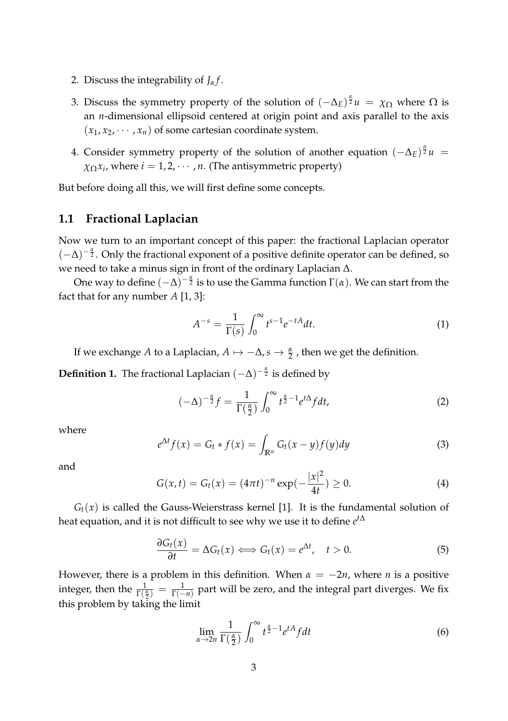- 2. Discuss the integrability of  $J_\alpha f$ .
- 3. Discuss the symmetry property of the solution of  $(-\Delta_E)^{\frac{\alpha}{2}}u = \chi_{\Omega}$  where  $\Omega$  is an *n*-dimensional ellipsoid centered at origin point and axis parallel to the axis  $(x_1, x_2, \dots, x_n)$  of some cartesian coordinate system.
- 4. Consider symmetry property of the solution of another equation  $(-\Delta_E)^{\frac{\alpha}{2}}u =$  $\chi_{\Omega} x_i$ , where  $i = 1, 2, \cdots, n$ . (The antisymmetric property)

But before doing all this, we will first define some concepts.

#### **1.1 Fractional Laplacian**

Now we turn to an important concept of this paper: the fractional Laplacian operator (−∆) − *α* <sup>2</sup> . Only the fractional exponent of a positive definite operator can be defined, so we need to take a minus sign in front of the ordinary Laplacian ∆.

One way to define  $(-\Delta)^{-\frac{\alpha}{2}}$  is to use the Gamma function  $\Gamma(\alpha).$  We can start from the fact that for any number *A* [1, 3]:

$$
A^{-s} = \frac{1}{\Gamma(s)} \int_0^\infty t^{s-1} e^{-tA} dt.
$$
 (1)

If we exchange *A* to a Laplacian,  $A \mapsto -\Delta$ ,  $s \to \frac{\alpha}{2}$ , then we get the definition.

**Definition 1.** The fractional Laplacian  $(-\Delta)^{-\frac{\alpha}{2}}$  is defined by

$$
(-\Delta)^{-\frac{\alpha}{2}}f = \frac{1}{\Gamma(\frac{\alpha}{2})} \int_0^\infty t^{\frac{\alpha}{2}-1} e^{t\Delta} f dt, \tag{2}
$$

where

$$
e^{\Delta t}f(x) = G_t * f(x) = \int_{\mathbb{R}^n} G_t(x - y)f(y)dy
$$
 (3)

and

$$
G(x,t) = G_t(x) = (4\pi t)^{-n} \exp(-\frac{|x|^2}{4t}) \ge 0.
$$
 (4)

 $G<sub>t</sub>(x)$  is called the Gauss-Weierstrass kernel [1]. It is the fundamental solution of heat equation, and it is not difficult to see why we use it to define *e t*∆

$$
\frac{\partial G_t(x)}{\partial t} = \Delta G_t(x) \Longleftrightarrow G_t(x) = e^{\Delta t}, \quad t > 0.
$$
 (5)

However, there is a problem in this definition. When  $\alpha = -2n$ , where *n* is a positive integer, then the  $\frac{1}{\Gamma(\frac{\alpha}{2})} = \frac{1}{\Gamma(-n)}$  part will be zero, and the integral part diverges. We fix this problem by taking the limit

$$
\lim_{\alpha \to 2n} \frac{1}{\Gamma(\frac{\alpha}{2})} \int_0^\infty t^{\frac{\alpha}{2}-1} e^{tA} f dt \tag{6}
$$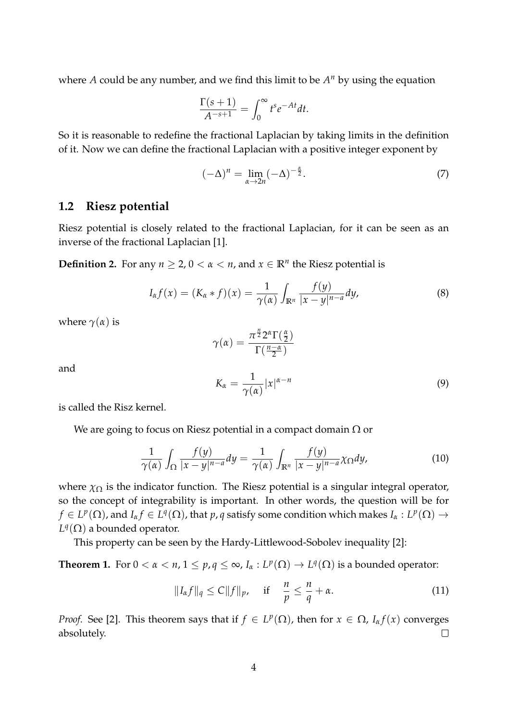where *A* could be any number, and we find this limit to be  $A<sup>n</sup>$  by using the equation

$$
\frac{\Gamma(s+1)}{A^{-s+1}} = \int_0^\infty t^s e^{-At} dt.
$$

So it is reasonable to redefine the fractional Laplacian by taking limits in the definition of it. Now we can define the fractional Laplacian with a positive integer exponent by

$$
(-\Delta)^n = \lim_{\alpha \to 2n} (-\Delta)^{-\frac{\alpha}{2}}.
$$
 (7)

#### **1.2 Riesz potential**

Riesz potential is closely related to the fractional Laplacian, for it can be seen as an inverse of the fractional Laplacian [1].

**Definition 2.** For any  $n \geq 2$ ,  $0 < \alpha < n$ , and  $x \in \mathbb{R}^n$  the Riesz potential is

$$
I_{\alpha}f(x) = (K_{\alpha}*f)(x) = \frac{1}{\gamma(\alpha)} \int_{\mathbb{R}^n} \frac{f(y)}{|x-y|^{n-a}} dy,
$$
\n(8)

where  $\gamma(\alpha)$  is

$$
\gamma(\alpha)=\frac{\pi^{\frac{n}{2}}2^{\alpha}\Gamma(\frac{\alpha}{2})}{\Gamma(\frac{n-\alpha}{2})}
$$

and

$$
K_{\alpha} = \frac{1}{\gamma(\alpha)} |x|^{\alpha - n} \tag{9}
$$

is called the Risz kernel.

We are going to focus on Riesz potential in a compact domain  $\Omega$  or

$$
\frac{1}{\gamma(\alpha)} \int_{\Omega} \frac{f(y)}{|x - y|^{n - a}} dy = \frac{1}{\gamma(\alpha)} \int_{\mathbb{R}^n} \frac{f(y)}{|x - y|^{n - a}} \chi_{\Omega} dy,
$$
\n(10)

where  $\chi_{\Omega}$  is the indicator function. The Riesz potential is a singular integral operator, so the concept of integrability is important. In other words, the question will be for  $f\in L^p(\Omega)$ , and  $I_\alpha f\in L^q(\Omega)$ , that  $p$ ,  $q$  satisfy some condition which makes  $I_\alpha:L^p(\Omega)\to L^p(\Omega)$  $L^q(\Omega)$  a bounded operator.

This property can be seen by the Hardy-Littlewood-Sobolev inequality [2]:

**Theorem 1.** For  $0 < \alpha < n$ ,  $1 \le p$ ,  $q \le \infty$ ,  $I_\alpha : L^p(\Omega) \to L^q(\Omega)$  is a bounded operator:

$$
||I_{\alpha}f||_{q} \le C||f||_{p}, \quad \text{if} \quad \frac{n}{p} \le \frac{n}{q} + \alpha. \tag{11}
$$

*Proof.* See [2]. This theorem says that if  $f \in L^p(\Omega)$ , then for  $x \in \Omega$ , *I<sub>a</sub>f*(*x*) converges absolutely.  $\Box$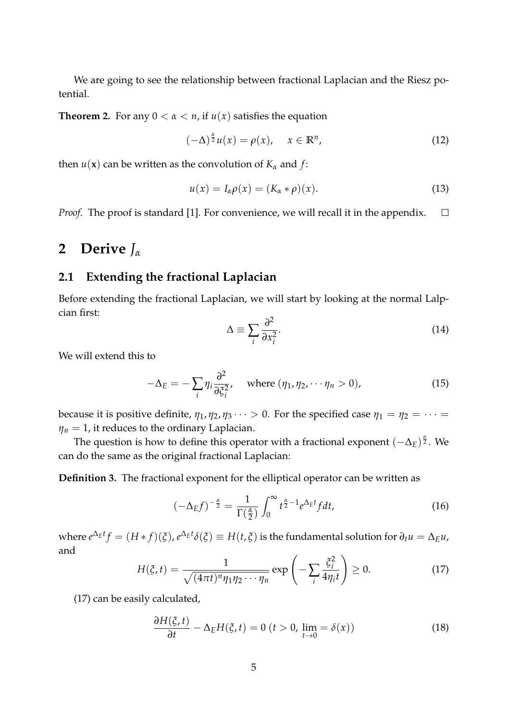We are going to see the relationship between fractional Laplacian and the Riesz potential.

**Theorem 2.** For any  $0 < \alpha < n$ , if  $u(x)$  satisfies the equation

$$
(-\Delta)^{\frac{\alpha}{2}}u(x) = \rho(x), \quad x \in \mathbb{R}^n, \tag{12}
$$

then  $u(\mathbf{x})$  can be written as the convolution of  $K_\alpha$  and  $f$ :

$$
u(x) = I_{\alpha}\rho(x) = (K_{\alpha} * \rho)(x).
$$
 (13)

*Proof.* The proof is standard [1]. For convenience, we will recall it in the appendix.  $\Box$ 

## **2 Derive** *J<sup>α</sup>*

#### **2.1 Extending the fractional Laplacian**

Before extending the fractional Laplacian, we will start by looking at the normal Lalpcian first:

$$
\Delta \equiv \sum_{i} \frac{\partial^2}{\partial x_i^2}.
$$
\n(14)

We will extend this to

$$
-\Delta_E = -\sum_i \eta_i \frac{\partial^2}{\partial \xi_i^2}, \quad \text{where } (\eta_1, \eta_2, \cdots \eta_n > 0), \tag{15}
$$

because it is positive definite,  $\eta_1$ ,  $\eta_2$ ,  $\eta_3 \cdots > 0$ . For the specified case  $\eta_1 = \eta_2 = \cdots =$  $\eta_n = 1$ , it reduces to the ordinary Laplacian.

The question is how to define this operator with a fractional exponent  $(-Δ<sub>E</sub>)^{\frac{\alpha}{2}}$ . We can do the same as the original fractional Laplacian:

**Definition 3.** The fractional exponent for the elliptical operator can be written as

$$
(-\Delta_E f)^{-\frac{\alpha}{2}} = \frac{1}{\Gamma(\frac{\alpha}{2})} \int_0^\infty t^{\frac{\alpha}{2}-1} e^{\Delta_E t} f dt,
$$
\n(16)

where  $e^{\Delta_E t}f=(H*f)(\xi)$ ,  $e^{\Delta_E t}\delta(\xi)\equiv H(t,\xi)$  is the fundamental solution for  $\partial_t u=\Delta_E u$ , and

$$
H(\xi, t) = \frac{1}{\sqrt{(4\pi t)^n \eta_1 \eta_2 \cdots \eta_n}} \exp\left(-\sum_i \frac{\xi_i^2}{4\eta_i t}\right) \ge 0.
$$
 (17)

(17) can be easily calculated,

$$
\frac{\partial H(\xi, t)}{\partial t} - \Delta_E H(\xi, t) = 0 \ (t > 0, \ \lim_{t \to 0} = \delta(x)) \tag{18}
$$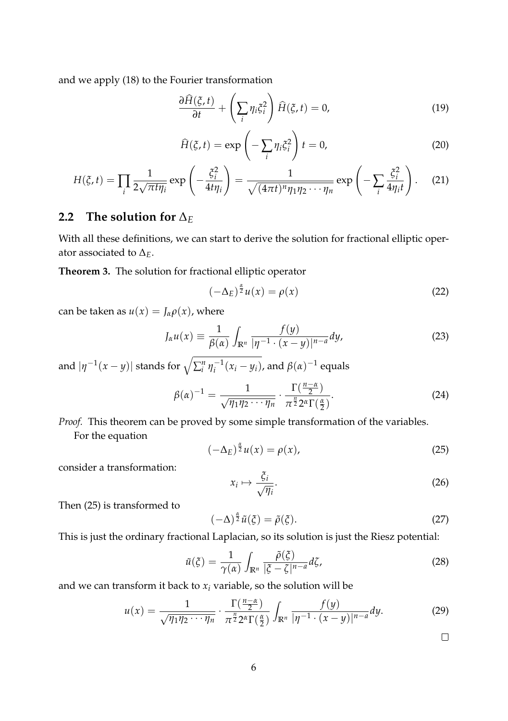and we apply (18) to the Fourier transformation

$$
\frac{\partial \widehat{H}(\xi, t)}{\partial t} + \left(\sum_{i} \eta_i \xi_i^2\right) \widehat{H}(\xi, t) = 0,\tag{19}
$$

$$
\widehat{H}(\xi, t) = \exp\left(-\sum_{i} \eta_i \xi_i^2\right) t = 0,
$$
\n(20)

$$
H(\xi, t) = \prod_{i} \frac{1}{2\sqrt{\pi t \eta_i}} \exp\left(-\frac{\xi_i^2}{4t\eta_i}\right) = \frac{1}{\sqrt{(4\pi t)^n \eta_1 \eta_2 \cdots \eta_n}} \exp\left(-\sum_{i} \frac{\xi_i^2}{4\eta_i t}\right).
$$
 (21)

#### **2.2** The solution for  $\Delta$ *E*

With all these definitions, we can start to derive the solution for fractional elliptic operator associated to  $\Delta_E$ .

**Theorem 3.** The solution for fractional elliptic operator

$$
(-\Delta_E)^{\frac{\alpha}{2}}u(x) = \rho(x) \tag{22}
$$

can be taken as  $u(x) = J_\alpha \rho(x)$ , where

$$
J_{\alpha}u(x) \equiv \frac{1}{\beta(\alpha)} \int_{\mathbb{R}^n} \frac{f(y)}{|\eta^{-1} \cdot (x - y)|^{n - a}} dy,
$$
 (23)

and  $|\eta^{-1}(x-y)|$  stands for  $\sqrt{\sum_i^n \eta_i^{-1}(x_i-y_i)}$ , and  $\beta(\alpha)^{-1}$  equals

$$
\beta(\alpha)^{-1} = \frac{1}{\sqrt{\eta_1 \eta_2 \cdots \eta_n}} \cdot \frac{\Gamma(\frac{n-\alpha}{2})}{\pi^{\frac{n}{2}} 2^{\alpha} \Gamma(\frac{\alpha}{2})}.
$$
\n(24)

*Proof.* This theorem can be proved by some simple transformation of the variables.

For the equation

$$
(-\Delta_E)^{\frac{\alpha}{2}}u(x) = \rho(x),\tag{25}
$$

consider a transformation:

$$
x_i \mapsto \frac{\xi_i}{\sqrt{\eta_i}}.\tag{26}
$$

Then (25) is transformed to

$$
(-\Delta)^{\frac{\alpha}{2}}\tilde{u}(\xi) = \tilde{\rho}(\xi). \tag{27}
$$

This is just the ordinary fractional Laplacian, so its solution is just the Riesz potential:

$$
\tilde{u}(\xi) = \frac{1}{\gamma(\alpha)} \int_{\mathbb{R}^n} \frac{\tilde{\rho}(\xi)}{|\xi - \zeta|^{n-a}} d\xi,
$$
\n(28)

and we can transform it back to  $x_i$  variable, so the solution will be

$$
u(x) = \frac{1}{\sqrt{\eta_1 \eta_2 \cdots \eta_n}} \cdot \frac{\Gamma(\frac{n-\alpha}{2})}{\pi^{\frac{n}{2}} 2^{\alpha} \Gamma(\frac{\alpha}{2})} \int_{\mathbb{R}^n} \frac{f(y)}{|\eta^{-1} \cdot (x-y)|^{n-a}} dy.
$$
 (29)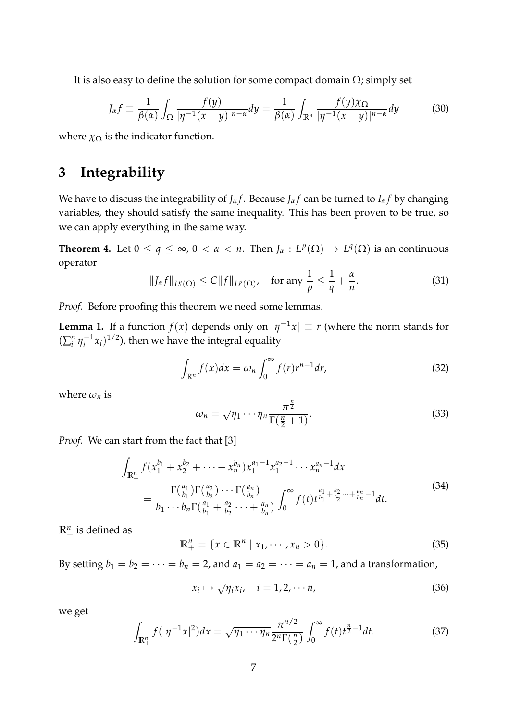It is also easy to define the solution for some compact domain  $\Omega$ ; simply set

$$
J_{\alpha}f \equiv \frac{1}{\beta(\alpha)} \int_{\Omega} \frac{f(y)}{|\eta^{-1}(x-y)|^{n-\alpha}} dy = \frac{1}{\beta(\alpha)} \int_{\mathbb{R}^n} \frac{f(y)\chi_{\Omega}}{|\eta^{-1}(x-y)|^{n-\alpha}} dy \tag{30}
$$

where  $\chi_{\Omega}$  is the indicator function.

## **3 Integrability**

We have to discuss the integrability of *J<sub>α</sub>f*. Because *J<sub>α</sub>f* can be turned to *I<sub>α</sub>f* by changing variables, they should satisfy the same inequality. This has been proven to be true, so we can apply everything in the same way.

**Theorem 4.** Let  $0 \le q \le \infty$ ,  $0 < \alpha < n$ . Then  $J_{\alpha}: L^p(\Omega) \to L^q(\Omega)$  is an continuous operator

$$
||J_{\alpha}f||_{L^{q}(\Omega)} \leq C||f||_{L^{p}(\Omega)}, \quad \text{for any } \frac{1}{p} \leq \frac{1}{q} + \frac{\alpha}{n}.
$$
 (31)

*Proof.* Before proofing this theorem we need some lemmas.

**Lemma 1.** If a function  $f(x)$  depends only on  $|\eta^{-1}x| \equiv r$  (where the norm stands for  $(\sum_{i}^{n} \eta_i^{-1} x_i)^{1/2}$ , then we have the integral equality

$$
\int_{\mathbb{R}^n} f(x)dx = \omega_n \int_0^\infty f(r)r^{n-1}dr,\tag{32}
$$

where  $\omega_n$  is

$$
\omega_n = \sqrt{\eta_1 \cdots \eta_n} \frac{\pi^{\frac{n}{2}}}{\Gamma(\frac{n}{2} + 1)}.
$$
\n(33)

*Proof.* We can start from the fact that [3]

$$
\int_{\mathbb{R}_{+}^{n}} f(x_{1}^{b_{1}} + x_{2}^{b_{2}} + \cdots + x_{n}^{b_{n}}) x_{1}^{a_{1}-1} x_{1}^{a_{2}-1} \cdots x_{n}^{a_{n}-1} dx \n= \frac{\Gamma(\frac{a_{1}}{b_{1}}) \Gamma(\frac{a_{2}}{b_{2}}) \cdots \Gamma(\frac{a_{n}}{b_{n}})}{b_{1} \cdots b_{n} \Gamma(\frac{a_{1}}{b_{1}} + \frac{a_{2}}{b_{2}} \cdots + \frac{a_{n}}{b_{n}})} \int_{0}^{\infty} f(t) t^{\frac{a_{1}}{b_{1}} + \frac{a_{2}}{b_{2}} \cdots + \frac{a_{n}}{b_{n}} - 1} dt.
$$
\n(34)

 $\mathbb{R}^n_+$  is defined as

$$
\mathbb{R}^{n}_{+} = \{ x \in \mathbb{R}^{n} \mid x_{1}, \cdots, x_{n} > 0 \}.
$$
 (35)

By setting  $b_1 = b_2 = \cdots = b_n = 2$ , and  $a_1 = a_2 = \cdots = a_n = 1$ , and a transformation,

$$
x_i \mapsto \sqrt{\eta_i} x_i, \quad i = 1, 2, \cdots n,
$$
\n(36)

we get

$$
\int_{\mathbb{R}_+^n} f(|\eta^{-1}x|^2) dx = \sqrt{\eta_1 \cdots \eta_n} \frac{\pi^{n/2}}{2^n \Gamma(\frac{n}{2})} \int_0^\infty f(t) t^{\frac{n}{2}-1} dt. \tag{37}
$$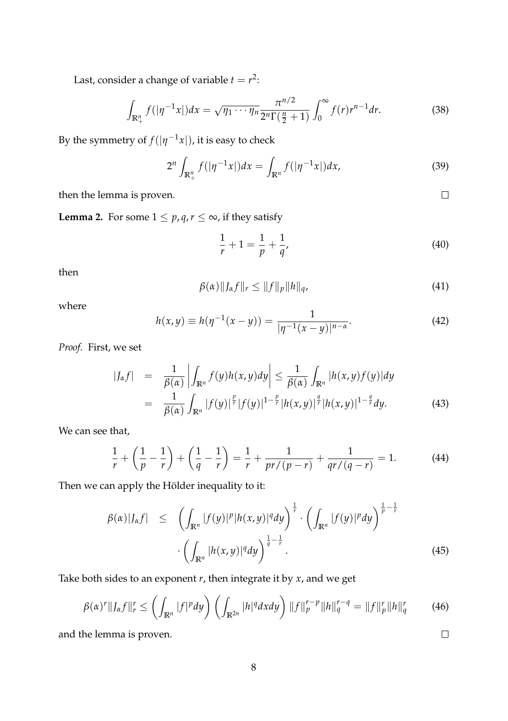Last, consider a change of variable  $t = r^2$ :

$$
\int_{\mathbb{R}_+^n} f(|\eta^{-1}x|) dx = \sqrt{\eta_1 \cdots \eta_n} \frac{\pi^{n/2}}{2^n \Gamma(\frac{n}{2} + 1)} \int_0^\infty f(r) r^{n-1} dr.
$$
 (38)

By the symmetry of  $f(|\eta^{-1}x|)$ , it is easy to check

$$
2^{n} \int_{\mathbb{R}_{+}^{n}} f(|\eta^{-1}x|) dx = \int_{\mathbb{R}^{n}} f(|\eta^{-1}x|) dx,
$$
 (39)

then the lemma is proven.

**Lemma 2.** For some  $1 \leq p, q, r \leq \infty$ , if they satisfy

$$
\frac{1}{r} + 1 = \frac{1}{p} + \frac{1}{q},\tag{40}
$$

then

$$
\beta(\alpha)\|J_{\alpha}f\|_{r} \le \|f\|_{p}\|h\|_{q},\tag{41}
$$

where

$$
h(x,y) \equiv h(\eta^{-1}(x-y)) = \frac{1}{|\eta^{-1}(x-y)|^{n-\alpha}}.\tag{42}
$$

*Proof.* First, we set

$$
\begin{array}{rcl} |J_{\alpha}f| & = & \frac{1}{\beta(\alpha)} \left| \int_{\mathbb{R}^n} f(y)h(x,y)dy \right| \leq \frac{1}{\beta(\alpha)} \int_{\mathbb{R}^n} |h(x,y)f(y)|dy \\ & = & \frac{1}{\beta(\alpha)} \int_{\mathbb{R}^n} |f(y)|^{\frac{p}{r}} |f(y)|^{1-\frac{p}{r}} |h(x,y)|^{\frac{q}{r}} |h(x,y)|^{1-\frac{q}{r}} dy. \end{array} \tag{43}
$$

We can see that,

$$
\frac{1}{r} + \left(\frac{1}{p} - \frac{1}{r}\right) + \left(\frac{1}{q} - \frac{1}{r}\right) = \frac{1}{r} + \frac{1}{pr/(p-r)} + \frac{1}{qr/(q-r)} = 1.
$$
 (44)

Then we can apply the Hölder inequality to it:

$$
\beta(\alpha)|J_{\alpha}f| \leq \left(\int_{\mathbb{R}^n} |f(y)|^p |h(x,y)|^q dy\right)^{\frac{1}{r}} \cdot \left(\int_{\mathbb{R}^n} |f(y)|^p dy\right)^{\frac{1}{p}-\frac{1}{r}} \cdot \left(\int_{\mathbb{R}^n} |f(y)|^p dy\right)^{\frac{1}{p}-\frac{1}{r}} \cdot \left(\int_{\mathbb{R}^n} |h(x,y)|^q dy\right)^{\frac{1}{q}-\frac{1}{r}}.
$$
\n(45)

Take both sides to an exponent *r*, then integrate it by *x*, and we get

$$
\beta(\alpha)^{r}||J_{\alpha}f||_{r}^{r} \leq \left(\int_{\mathbb{R}^{n}}|f|^{p}dy\right)\left(\int_{\mathbb{R}^{2n}}|h|^{q}dxdy\right)||f||_{p}^{r-p}||h||_{q}^{r-q} = ||f||_{p}^{r}||h||_{q}^{r} \qquad (46)
$$

and the lemma is proven.

 $\Box$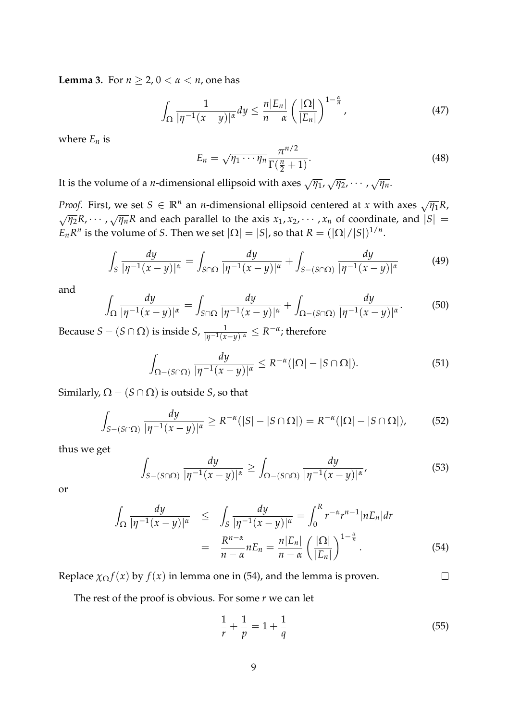**Lemma 3.** For  $n \geq 2$ ,  $0 < \alpha < n$ , one has

$$
\int_{\Omega} \frac{1}{|\eta^{-1}(x-y)|^{\alpha}} dy \leq \frac{n|E_n|}{n-\alpha} \left(\frac{|\Omega|}{|E_n|}\right)^{1-\frac{\alpha}{n}},\tag{47}
$$

where  $E_n$  is

$$
E_n = \sqrt{\eta_1 \cdots \eta_n} \frac{\pi^{n/2}}{\Gamma(\frac{n}{2} + 1)}.
$$
\n(48)

It is the volume of a *n*-dimensional ellipsoid with axes  $\sqrt{\eta_1}$ ,  $\sqrt{\eta_2}$ , · · · ,  $\sqrt{\eta_n}$ .

*Proof.* First, we set  $S \in \mathbb{R}^n$  an *n*-dimensional ellipsoid centered at *x* with axes  $\sqrt{\eta_1}R$ ,  $\sqrt{\eta_2}R$ , · · ·  $\sqrt{\eta_n}R$  and each parallel to the axis  $x_1, x_2, \cdots, x_n$  of coordinate, and  $|S|$  =  $E_n R^n$  is the volume of *S*. Then we set  $|\Omega| = |S|$ , so that  $R = (|\Omega|/|S|)^{1/n}$ .

$$
\int_{S} \frac{dy}{|\eta^{-1}(x-y)|^{\alpha}} = \int_{S \cap \Omega} \frac{dy}{|\eta^{-1}(x-y)|^{\alpha}} + \int_{S - (S \cap \Omega)} \frac{dy}{|\eta^{-1}(x-y)|^{\alpha}} \tag{49}
$$

and

$$
\int_{\Omega} \frac{dy}{|\eta^{-1}(x-y)|^{\alpha}} = \int_{S \cap \Omega} \frac{dy}{|\eta^{-1}(x-y)|^{\alpha}} + \int_{\Omega - (S \cap \Omega)} \frac{dy}{|\eta^{-1}(x-y)|^{\alpha}}.
$$
(50)

Because  $S - (S \cap \Omega)$  is inside  $S$ ,  $\frac{1}{|\eta^{-1}(x-y)|^{\alpha}} \leq R^{-\alpha}$ ; therefore

$$
\int_{\Omega - (S \cap \Omega)} \frac{dy}{|\eta^{-1}(x - y)|^{\alpha}} \le R^{-\alpha} (|\Omega| - |S \cap \Omega|).
$$
 (51)

Similarly,  $\Omega - (S \cap \Omega)$  is outside *S*, so that

$$
\int_{S-(S\cap\Omega)}\frac{dy}{|\eta^{-1}(x-y)|^{\alpha}}\geq R^{-\alpha}(|S|-|S\cap\Omega|)=R^{-\alpha}(|\Omega|-|S\cap\Omega|),\qquad(52)
$$

thus we get

$$
\int_{S-(S\cap\Omega)}\frac{dy}{|\eta^{-1}(x-y)|^{\alpha}} \ge \int_{\Omega-(S\cap\Omega)}\frac{dy}{|\eta^{-1}(x-y)|^{\alpha}},\tag{53}
$$

or

$$
\int_{\Omega} \frac{dy}{|\eta^{-1}(x-y)|^{\alpha}} \leq \int_{S} \frac{dy}{|\eta^{-1}(x-y)|^{\alpha}} = \int_{0}^{R} r^{-\alpha} r^{n-1} |\eta E_{n}| dr
$$
\n
$$
= \frac{R^{n-\alpha}}{n-\alpha} n E_{n} = \frac{n|E_{n}|}{n-\alpha} \left(\frac{|\Omega|}{|E_{n}|}\right)^{1-\frac{\alpha}{n}}.
$$
\n(54)

Replace  $\chi_{\Omega} f(x)$  by  $f(x)$  in lemma one in (54), and the lemma is proven.

The rest of the proof is obvious. For some *r* we can let

$$
\frac{1}{r} + \frac{1}{p} = 1 + \frac{1}{q} \tag{55}
$$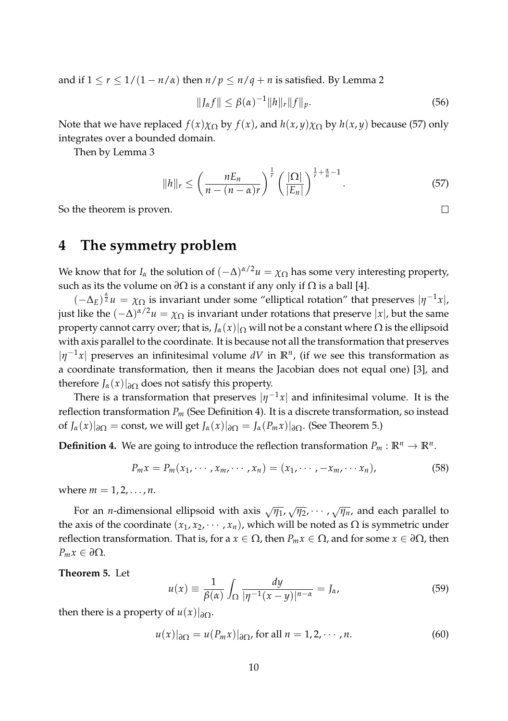and if  $1 \le r \le \frac{1}{1 - n/a}$  then  $n/p \le n/q + n$  is satisfied. By Lemma 2

$$
||J_{\alpha}f|| \leq \beta(\alpha)^{-1}||h||_{r}||f||_{p}.
$$
\n(56)

Note that we have replaced  $f(x)\chi_{\Omega}$  by  $f(x)$ , and  $h(x, y)\chi_{\Omega}$  by  $h(x, y)$  because (57) only integrates over a bounded domain.

Then by Lemma 3

$$
||h||_r \le \left(\frac{nE_n}{n-(n-\alpha)r}\right)^{\frac{1}{r}} \left(\frac{|\Omega|}{|E_n|}\right)^{\frac{1}{r}+\frac{\alpha}{n}-1}.
$$
\n
$$
(57)
$$

So the theorem is proven.

## **4 The symmetry problem**

We know that for *I<sub>α</sub>* the solution of  $(-\Delta)^{\alpha/2}u = \chi_{\Omega}$  has some very interesting property, such as its the volume on  $\partial\Omega$  is a constant if any only if  $\Omega$  is a ball [4].

 $(-\Delta_E)^{\frac{\alpha}{2}}u = \chi_{\Omega}$  is invariant under some "elliptical rotation" that preserves  $|\eta^{-1}x|$ , just like the  $(-\Delta)^{\alpha/2}u = \chi_{\Omega}$  is invariant under rotations that preserve  $|x|$ , but the same property cannot carry over; that is,  $J_\alpha(x)|_{\Omega}$  will not be a constant where  $\Omega$  is the ellipsoid with axis parallel to the coordinate. It is because not all the transformation that preserves  $|\eta^{-1}x|$  preserves an infinitesimal volume dV in  $\mathbb{R}^n$ , (if we see this transformation as a coordinate transformation, then it means the Jacobian does not equal one) [3], and therefore  $J_\alpha(x)|_{\partial\Omega}$  does not satisfy this property.

There is a transformation that preserves  $|\eta^{-1} x|$  and infinitesimal volume. It is the reflection transformation *P<sup>m</sup>* (See Definition 4). It is a discrete transformation, so instead of  $J_\alpha(x)|_{\partial\Omega} = \text{const}$ , we will get  $J_\alpha(x)|_{\partial\Omega} = J_\alpha(P_m x)|_{\partial\Omega}$ . (See Theorem 5.)

**Definition 4.** We are going to introduce the reflection transformation  $P_m : \mathbb{R}^n \to \mathbb{R}^n$ .

$$
P_m x = P_m(x_1, \cdots, x_m, \cdots, x_n) = (x_1, \cdots, -x_m, \cdots, x_n),
$$
\n
$$
(58)
$$

where  $m = 1, 2, ..., n$ .

For an *<sup>n</sup>*-dimensional ellipsoid with axis <sup>√</sup>*η*1, <sup>√</sup>*η*2, · · · , <sup>√</sup>*ηn*, and each parallel to the axis of the coordinate  $(x_1, x_2, \dots, x_n)$ , which will be noted as  $\Omega$  is symmetric under reflection transformation. That is, for a *x* ∈ Ω, then *Pmx* ∈ Ω, and for some *x* ∈ *∂*Ω, then *Pmx* ∈ *∂*Ω.

**Theorem 5.** Let

$$
u(x) \equiv \frac{1}{\beta(\alpha)} \int_{\Omega} \frac{dy}{|\eta^{-1}(x-y)|^{n-\alpha}} = J_{\alpha}, \tag{59}
$$

then there is a property of  $u(x)|_{\partial\Omega}$ .

$$
u(x)|_{\partial\Omega} = u(P_m x)|_{\partial\Omega}, \text{ for all } n = 1, 2, \cdots, n. \tag{60}
$$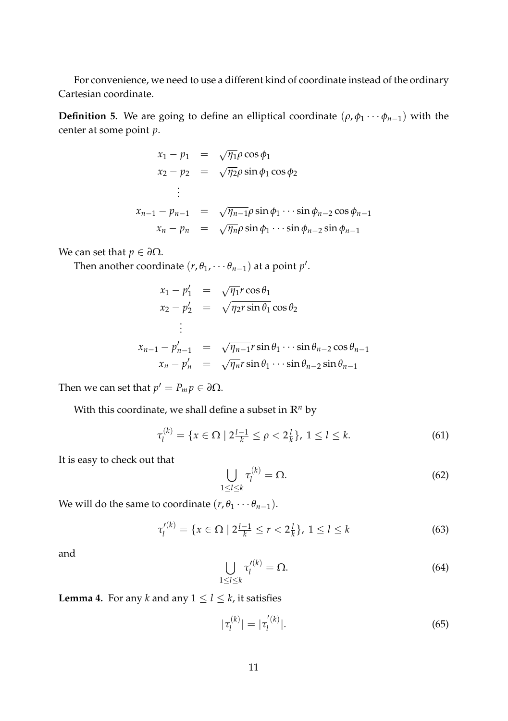For convenience, we need to use a different kind of coordinate instead of the ordinary Cartesian coordinate.

**Definition 5.** We are going to define an elliptical coordinate  $(\rho, \phi_1 \cdots \phi_{n-1})$  with the center at some point *p*.

$$
x_1 - p_1 = \sqrt{\eta_1} \rho \cos \phi_1
$$
  
\n
$$
x_2 - p_2 = \sqrt{\eta_2} \rho \sin \phi_1 \cos \phi_2
$$
  
\n
$$
\vdots
$$
  
\n
$$
x_{n-1} - p_{n-1} = \sqrt{\eta_{n-1}} \rho \sin \phi_1 \cdots \sin \phi_{n-2} \cos \phi_{n-1}
$$
  
\n
$$
x_n - p_n = \sqrt{\eta_n} \rho \sin \phi_1 \cdots \sin \phi_{n-2} \sin \phi_{n-1}
$$

We can set that  $p \in \partial \Omega$ .

Then another coordinate  $(r, \theta_1, \dots \theta_{n-1})$  at a point  $p'$ .

$$
x_1 - p'_1 = \sqrt{\eta_1} r \cos \theta_1
$$
  
\n
$$
x_2 - p'_2 = \sqrt{\eta_2} r \sin \theta_1 \cos \theta_2
$$
  
\n
$$
\vdots
$$
  
\n
$$
x_{n-1} - p'_{n-1} = \sqrt{\eta_{n-1}} r \sin \theta_1 \cdots \sin \theta_{n-2} \cos \theta_{n-1}
$$
  
\n
$$
x_n - p'_n = \sqrt{\eta_n} r \sin \theta_1 \cdots \sin \theta_{n-2} \sin \theta_{n-1}
$$

Then we can set that  $p' = P_m p \in \partial \Omega$ .

With this coordinate, we shall define a subset in  $\mathbb{R}^n$  by

$$
\tau_l^{(k)} = \{ x \in \Omega \mid 2\frac{l-1}{k} \le \rho < 2\frac{l}{k} \}, \ 1 \le l \le k. \tag{61}
$$

It is easy to check out that

$$
\bigcup_{1 \leq l \leq k} \tau_l^{(k)} = \Omega. \tag{62}
$$

We will do the same to coordinate  $(r, \theta_1 \cdots \theta_{n-1})$ .

$$
\tau_l^{\prime(k)} = \{ x \in \Omega \mid 2\frac{l-1}{k} \le r < 2\frac{l}{k} \}, \ 1 \le l \le k \tag{63}
$$

and

$$
\bigcup_{1 \leq l \leq k} \tau_l^{\prime(k)} = \Omega. \tag{64}
$$

**Lemma 4.** For any *k* and any  $1 \le l \le k$ , it satisfies

$$
|\tau_l^{(k)}| = |\tau_l^{'(k)}|.\tag{65}
$$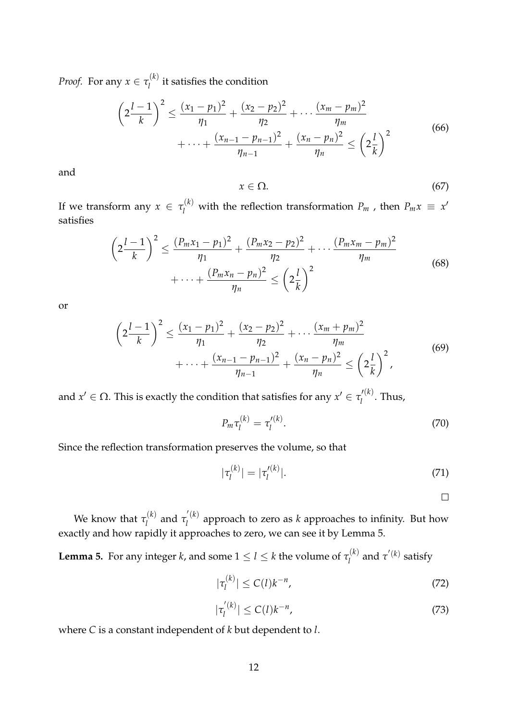*Proof.* For any  $x \in \tau_l^{(k)}$  $\hat{l}^{(k)}$  it satisfies the condition

$$
\left(2\frac{l-1}{k}\right)^2 \le \frac{(x_1 - p_1)^2}{\eta_1} + \frac{(x_2 - p_2)^2}{\eta_2} + \dots + \frac{(x_m - p_m)^2}{\eta_m}
$$
  
 
$$
+ \dots + \frac{(x_{n-1} - p_{n-1})^2}{\eta_{n-1}} + \frac{(x_n - p_n)^2}{\eta_n} \le \left(2\frac{l}{k}\right)^2
$$
 (66)

and

$$
x \in \Omega. \tag{67}
$$

If we transform any  $x \in \tau_l^{(k)}$  with the reflection transformation  $P_m$  , then  $P_m x \equiv x^l$ satisfies

$$
\left(2\frac{l-1}{k}\right)^2 \le \frac{(P_m x_1 - p_1)^2}{\eta_1} + \frac{(P_m x_2 - p_2)^2}{\eta_2} + \dots + \frac{(P_m x_m - p_m)^2}{\eta_m}
$$
\n
$$
+ \dots + \frac{(P_m x_n - p_n)^2}{\eta_n} \le \left(2\frac{l}{k}\right)^2 \tag{68}
$$

or

$$
\left(2\frac{l-1}{k}\right)^2 \le \frac{(x_1 - p_1)^2}{\eta_1} + \frac{(x_2 - p_2)^2}{\eta_2} + \dots + \frac{(x_m + p_m)^2}{\eta_m} + \dots + \frac{(x_{n-1} - p_{n-1})^2}{\eta_{n-1}} + \frac{(x_n - p_n)^2}{\eta_n} \le \left(2\frac{l}{k}\right)^2,
$$
\n(69)

and  $x' \in \Omega$ . This is exactly the condition that satisfies for any  $x' \in \tau'^{(k)}_l$  $\int_l^{l_{\infty}}$ . Thus,

$$
P_m \tau_l^{(k)} = \tau_l^{\prime (k)}.
$$
\n(70)

Since the reflection transformation preserves the volume, so that

$$
|\tau_l^{(k)}| = |\tau_l'^{(k)}|.\tag{71}
$$

 $\Box$ 

We know that  $\tau_l^{(k)}$  $\tau_l^{(k)}$  and  $\tau_l^{(k)}$ *l* approach to zero as *k* approaches to infinity. But how exactly and how rapidly it approaches to zero, we can see it by Lemma 5.

**Lemma 5.** For any integer *k*, and some  $1 \le l \le k$  the volume of  $\tau_l^{(k)}$  $\tau^{(k)}$  and  $\tau^{'(k)}$  satisfy

$$
|\tau_l^{(k)}| \le C(l)k^{-n},\tag{72}
$$

$$
|\tau_l^{'(k)}| \le C(l)k^{-n},\tag{73}
$$

where *C* is a constant independent of *k* but dependent to *l*.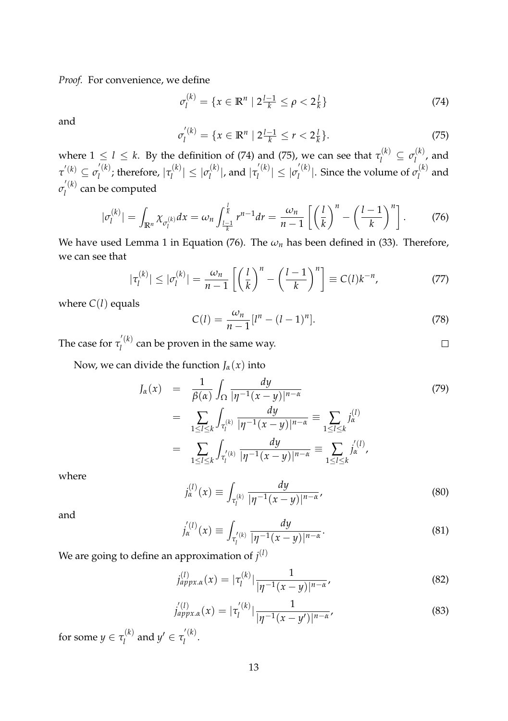*Proof.* For convenience, we define

$$
\sigma_l^{(k)} = \{ x \in \mathbb{R}^n \mid 2\frac{l-1}{k} \le \rho < 2\frac{l}{k} \} \tag{74}
$$

and

$$
\sigma_l^{'(k)} = \{ x \in \mathbb{R}^n \mid 2\frac{l-1}{k} \le r < 2\frac{l}{k} \}. \tag{75}
$$

where  $1 \leq l \leq k$ . By the definition of (74) and (75), we can see that  $\tau_l^{(k)} \subseteq \sigma_l^{(k)}$  $\hat{l}^{(n)}$ , and  $\tau^{'(k)} \subseteq \sigma_l^{'}^{(k)}$  $\mathcal{L}_l^{(k)}$ ; therefore,  $|\tau_l^{(k)}\rangle$  $|\mathcal{C}_l^{(k)}| \leq |\mathcal{C}_l^{(k)}|$  $\vert l_l^{(k)}\vert$ , and  $\vert \tau_l^{'(k)}\vert$  $|\bar{C}_l^{(k)}| \leq |\bar{C}_l^{(k)}|$  $\int_l^l(k)$ . Since the volume of  $\sigma_l^{(k)}$  $l^{(n)}$  and  $\sigma_l^{(k)}$  $\hat{l}$ <sup>(\*)</sup> can be computed

$$
|\sigma_l^{(k)}| = \int_{\mathbb{R}^n} \chi_{\sigma_l^{(k)}} dx = \omega_n \int_{\frac{l-1}{k}}^{\frac{l}{k}} r^{n-1} dr = \frac{\omega_n}{n-1} \left[ \left(\frac{l}{k}\right)^n - \left(\frac{l-1}{k}\right)^n \right].
$$
 (76)

We have used Lemma 1 in Equation (76). The  $\omega_n$  has been defined in (33). Therefore, we can see that

$$
|\tau_l^{(k)}| \le |\sigma_l^{(k)}| = \frac{\omega_n}{n-1} \left[ \left(\frac{l}{k}\right)^n - \left(\frac{l-1}{k}\right)^n \right] \equiv C(l)k^{-n},\tag{77}
$$

where  $C(l)$  equals

$$
C(l) = \frac{\omega_n}{n-1} [l^n - (l-1)^n].
$$
 (78)

 $\Box$ 

The case for  $\tau_l^{'(k)}$  $\hat{l}^{(k)}$  can be proven in the same way.

Now, we can divide the function  $J_\alpha(x)$  into

$$
J_{\alpha}(x) = \frac{1}{\beta(\alpha)} \int_{\Omega} \frac{dy}{|\eta^{-1}(x-y)|^{n-\alpha}}
$$
  
\n
$$
= \sum_{1 \leq l \leq k} \int_{\tau_{l}^{(k)}} \frac{dy}{|\eta^{-1}(x-y)|^{n-\alpha}} = \sum_{1 \leq l \leq k} j_{\alpha}^{(l)}
$$
  
\n
$$
= \sum_{1 \leq l \leq k} \int_{\tau_{l}^{(k)}} \frac{dy}{|\eta^{-1}(x-y)|^{n-\alpha}} = \sum_{1 \leq l \leq k} j_{\alpha}^{(l)},
$$
\n(79)

where

$$
j_{\alpha}^{(1)}(x) \equiv \int_{\tau_l^{(k)}} \frac{dy}{|\eta^{-1}(x-y)|^{n-\alpha}},
$$
\n(80)

and

$$
j_{\alpha}^{'(l)}(x) \equiv \int_{\tau_l^{'(k)}} \frac{dy}{|\eta^{-1}(x-y)|^{n-\alpha}}.
$$
\n(81)

We are going to define an approximation of  $j^{(l)}$ 

$$
j_{approx,\alpha}^{(l)}(x) = |\tau_l^{(k)}| \frac{1}{|\eta^{-1}(x-y)|^{n-\alpha}},
$$
\n(82)

$$
j_{appx.\alpha}'^{(l)}(x) = |\tau_l'^{(k)}| \frac{1}{|\eta^{-1}(x - y')|^{n - \alpha}},
$$
\n(83)

for some  $y \in \tau_l^{(k)}$  $\tau_l^{(k)}$  and  $y' \in \tau_l^{'(k)}$ . (<sup>n</sup>).<br>l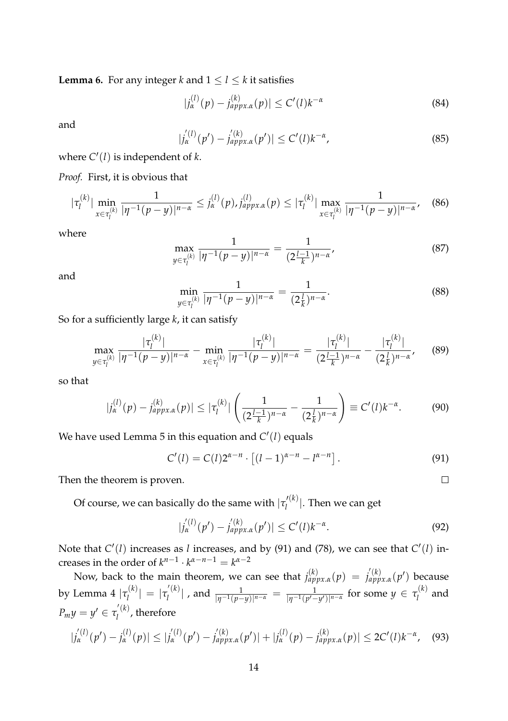**Lemma 6.** For any integer *k* and  $1 \le l \le k$  it satisfies

$$
|j_{\alpha}^{(l)}(p) - j_{approx,\alpha}^{(k)}(p)| \le C'(l)k^{-\alpha}
$$
 (84)

and

$$
|j_{\alpha}^{'(l)}(p') - j_{appx,\alpha}^{'(k)}(p')| \le C'(l)k^{-\alpha}, \tag{85}
$$

where  $C'(l)$  is independent of  $k$ .

*Proof.* First, it is obvious that

$$
|\tau_l^{(k)}| \min_{x \in \tau_l^{(k)}} \frac{1}{|\eta^{-1}(p-y)|^{n-\alpha}} \leq j_\alpha^{(l)}(p), j_{appx,\alpha}^{(l)}(p) \leq |\tau_l^{(k)}| \max_{x \in \tau_l^{(k)}} \frac{1}{|\eta^{-1}(p-y)|^{n-\alpha}}, \quad (86)
$$

where

$$
\max_{y \in \tau_l^{(k)}} \frac{1}{|\eta^{-1}(p-y)|^{n-\alpha}} = \frac{1}{(2\frac{l-1}{k})^{n-\alpha}},\tag{87}
$$

and

$$
\min_{y \in \tau_l^{(k)}} \frac{1}{|\eta^{-1}(p-y)|^{n-\alpha}} = \frac{1}{(2\frac{l}{k})^{n-\alpha}}.
$$
\n(88)

So for a sufficiently large *k*, it can satisfy

$$
\max_{y \in \tau_l^{(k)}} \frac{|\tau_l^{(k)}|}{|\eta^{-1}(p-y)|^{n-\alpha}} - \min_{x \in \tau_l^{(k)}} \frac{|\tau_l^{(k)}|}{|\eta^{-1}(p-y)|^{n-\alpha}} = \frac{|\tau_l^{(k)}|}{(2\frac{l-1}{k})^{n-\alpha}} - \frac{|\tau_l^{(k)}|}{(2\frac{l}{k})^{n-\alpha}},\tag{89}
$$

so that

$$
|j_{\alpha}^{(l)}(p) - j_{approx,\alpha}^{(k)}(p)| \leq |\tau_l^{(k)}| \left( \frac{1}{(2\frac{l-1}{k})^{n-\alpha}} - \frac{1}{(2\frac{l}{k})^{n-\alpha}} \right) \equiv C'(l)k^{-\alpha}.
$$
 (90)

We have used Lemma 5 in this equation and  $C'(l)$  equals

$$
C'(l) = C(l)2^{\alpha - n} \cdot \left[ (l-1)^{\alpha - n} - l^{\alpha - n} \right].
$$
 (91)

 $\Box$ 

Then the theorem is proven.

Of course, we can basically do the same with  $|\tau'^{(k)}_l\rangle$  $\binom{1}{l}$ . Then we can get

$$
|j_{\alpha}^{'(l)}(p') - j_{appx,\alpha}^{'(k)}(p')| \le C'(l)k^{-\alpha}.
$$
 (92)

Note that  $C'(l)$  increases as *l* increases, and by (91) and (78), we can see that  $C'(l)$  increases in the order of  $k^{n-1} \cdot k^{\alpha-n-1} = k^{\alpha-2}$ 

Now, back to the main theorem, we can see that  $j_{approx}^{(k)}(p) = j_{approx}^{(k)}(p')$  because by Lemma 4  $|\tau_l^{(k)}\>$  $|\tau_l^{(k)}| = |\tau_l^{'(k)}|$  $\frac{d}{dt}$  , and  $\frac{1}{|\eta^{-1}(p-y)|^{n-\alpha}} = \frac{1}{|\eta^{-1}(p'-y')|^{n-\alpha}}$  for some  $y \in \tau_l^{(k)}$  $\hat{l}^{(n)}$  and *P<sub>m</sub>y* =  $y' \in \tau_l^{(k)}$  $\hat{a}_l^{(n)}$ , therefore

$$
|j_{\alpha}^{(l)}(p') - j_{\alpha}^{(l)}(p)| \le |j_{\alpha}^{(l)}(p') - j_{appx,\alpha}^{(k)}(p')| + |j_{\alpha}^{(l)}(p) - j_{appx,\alpha}^{(k)}(p)| \le 2C'(l)k^{-\alpha}, \quad (93)
$$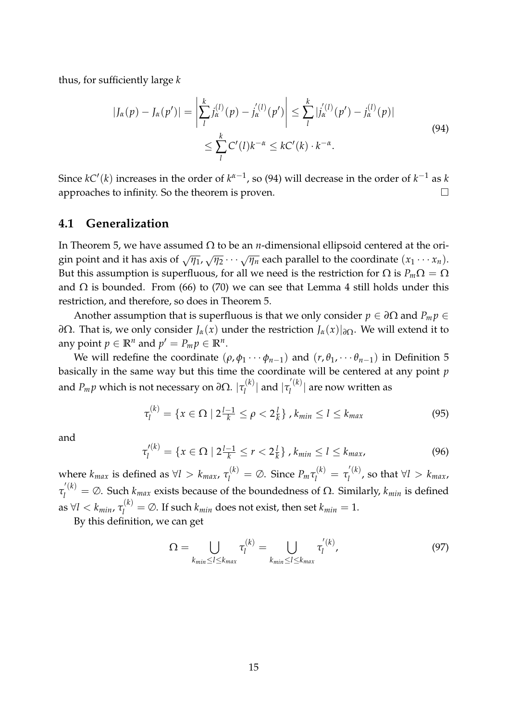thus, for sufficiently large *k*

$$
|J_{\alpha}(p) - J_{\alpha}(p')| = \left| \sum_{l}^{k} j_{\alpha}^{(l)}(p) - j_{\alpha}^{'(l)}(p') \right| \leq \sum_{l}^{k} |j_{\alpha}^{'(l)}(p') - j_{\alpha}^{(l)}(p)|
$$
  
 
$$
\leq \sum_{l}^{k} C'(l) k^{-\alpha} \leq k C'(k) \cdot k^{-\alpha}.
$$
 (94)

Since  $kC'(k)$  increases in the order of  $k^{\alpha-1}$ , so (94) will decrease in the order of  $k^{-1}$  as  $k$ approaches to infinity. So the theorem is proven.  $\Box$ 

#### **4.1 Generalization**

In Theorem 5, we have assumed Ω to be an *n*-dimensional ellipsoid centered at the origin point and it has axis of  $\sqrt{\eta_1}$ ,  $\sqrt{\eta_2}$   $\cdots$   $\sqrt{\eta_n}$  each parallel to the coordinate  $(x_1 \cdots x_n)$ . But this assumption is superfluous, for all we need is the restriction for  $\Omega$  is  $P_m\Omega = \Omega$ and  $\Omega$  is bounded. From (66) to (70) we can see that Lemma 4 still holds under this restriction, and therefore, so does in Theorem 5.

Another assumption that is superfluous is that we only consider  $p \in \partial\Omega$  and  $P_m p \in$ *∂*Ω. That is, we only consider *Jα*(*x*) under the restriction *Jα*(*x*)|*∂*Ω. We will extend it to any point  $p \in \mathbb{R}^n$  and  $p' = P_m p \in \mathbb{R}^n$ .

We will redefine the coordinate  $(\rho, \phi_1 \cdots \phi_{n-1})$  and  $(r, \theta_1, \cdots \theta_{n-1})$  in Definition 5 basically in the same way but this time the coordinate will be centered at any point *p* and  $P_m p$  which is not necessary on ∂Ω.  $|\tau^{(k)}_l\rangle$  $\vert l \vert^{(k)}$  and  $\vert \tau_l^{'(k)} \vert$  $\mathcal{L}^{\kappa}$ <sup>( $\kappa$ )</sub> are now written as</sup>

$$
\tau_l^{(k)} = \{ x \in \Omega \mid 2^{\frac{l-1}{k}} \le \rho < 2^{\frac{l}{k}} \}, k_{\min} \le l \le k_{\max} \tag{95}
$$

and

$$
\tau_l^{\prime(k)} = \{ x \in \Omega \mid 2\frac{l-1}{k} \le r < 2\frac{l}{k} \}, k_{min} \le l \le k_{max},\tag{96}
$$

where  $k_{max}$  is defined as  $\forall l > k_{max}$ ,  $\tau_l^{(k)} = \emptyset$ . Since  $P_m \tau_l^{(k)} = \tau_l^{(k)}$  $l_l^{(k)}$ , so that  $\forall l > k_{max}$ , *τ*<sup>'(*k*)</sup></sub> = ∅. Such *k*<sub>*max*</sub> exists because of the boundedness of Ω. Similarly, *k*<sub>*min*</sub> is defined as  $\forall l < k_{min}$ ,  $\tau_l^{(k)} = \emptyset$ . If such  $k_{min}$  does not exist, then set  $k_{min} = 1$ .

By this definition, we can get

$$
\Omega = \bigcup_{k_{min} \le l \le k_{max}} \tau_l^{(k)} = \bigcup_{k_{min} \le l \le k_{max}} \tau_l^{'(k)},\tag{97}
$$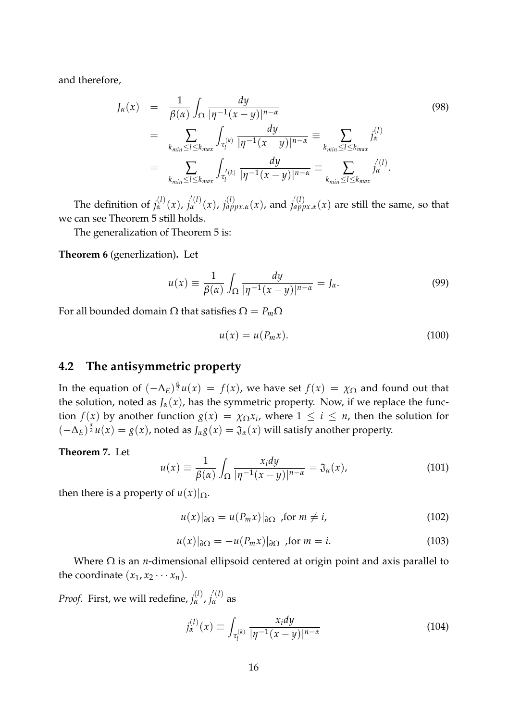and therefore,

$$
J_{\alpha}(x) = \frac{1}{\beta(\alpha)} \int_{\Omega} \frac{dy}{|\eta^{-1}(x-y)|^{n-\alpha}}
$$
  
\n
$$
= \sum_{k_{min} \le l \le k_{max}} \int_{\tau_{l}^{(k)}} \frac{dy}{|\eta^{-1}(x-y)|^{n-\alpha}} \equiv \sum_{k_{min} \le l \le k_{max}} j_{\alpha}^{(l)}
$$
  
\n
$$
= \sum_{k_{min} \le l \le k_{max}} \int_{\tau_{l}^{(k)}} \frac{dy}{|\eta^{-1}(x-y)|^{n-\alpha}} \equiv \sum_{k_{min} \le l \le k_{max}} j_{\alpha}^{(l)}.
$$
\n(98)

The definition of  $j_{\alpha}^{(l)}(x)$ ,  $j_{\alpha}^{(l)}(x)$ ,  $j_{appx,\alpha}^{(l)}(x)$ , and  $j_{appx,\alpha}^{(l)}(x)$  are still the same, so that we can see Theorem 5 still holds.

The generalization of Theorem 5 is:

**Theorem 6** (generlization)**.** Let

$$
u(x) \equiv \frac{1}{\beta(\alpha)} \int_{\Omega} \frac{dy}{|\eta^{-1}(x-y)|^{n-\alpha}} = J_{\alpha}.
$$
 (99)

For all bounded domain Ω that satisfies Ω = *Pm*Ω

$$
u(x) = u(P_m x). \tag{100}
$$

#### **4.2 The antisymmetric property**

In the equation of  $(-\Delta_E)^{\frac{\alpha}{2}}u(x) = f(x)$ , we have set  $f(x) = \chi_{\Omega}$  and found out that the solution, noted as  $J_\alpha(x)$ , has the symmetric property. Now, if we replace the function *f*(*x*) by another function  $g(x) = \chi_{\Omega} x_i$ , where  $1 \leq i \leq n$ , then the solution for  $(-\Delta_E)^{\frac{\alpha}{2}}u(x) = g(x)$ , noted as  $J_{\alpha}g(x) = \mathfrak{J}_{\alpha}(x)$  will satisfy another property.

**Theorem 7.** Let

$$
u(x) \equiv \frac{1}{\beta(\alpha)} \int_{\Omega} \frac{x_i dy}{|\eta^{-1}(x - y)|^{n - \alpha}} = \mathfrak{J}_{\alpha}(x), \qquad (101)
$$

then there is a property of  $u(x)|_{\Omega}$ .

$$
u(x)|_{\partial\Omega} = u(P_m x)|_{\partial\Omega} \text{ for } m \neq i,
$$
 (102)

$$
u(x)|_{\partial\Omega} = -u(P_m x)|_{\partial\Omega} \text{ for } m = i. \tag{103}
$$

Where  $\Omega$  is an *n*-dimensional ellipsoid centered at origin point and axis parallel to the coordinate  $(x_1, x_2 \cdots x_n)$ .

*Proof.* First, we will redefine,  $j_{\alpha}^{(l)}$ ,  $j_{\alpha}^{'(l)}$  as

$$
j_{\alpha}^{(l)}(x) \equiv \int_{\tau_l^{(k)}} \frac{x_i dy}{|\eta^{-1}(x-y)|^{n-\alpha}} \tag{104}
$$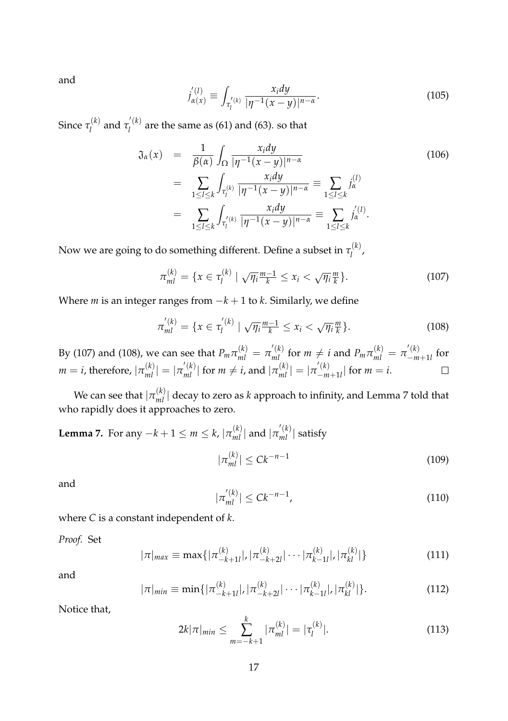and

$$
j'_{\alpha(x)} \equiv \int_{\tau'_l(k)} \frac{x_i dy}{|\eta^{-1}(x-y)|^{n-\alpha}}.
$$
 (105)

Since *τ* (*k*)  $\tau_l^{(k)}$  and  $\tau_l^{'(k)}$  $\hat{a}_l^{(n)}$  are the same as (61) and (63). so that

$$
\mathfrak{J}_{\alpha}(x) = \frac{1}{\beta(\alpha)} \int_{\Omega} \frac{x_i dy}{|\eta^{-1}(x - y)|^{n - \alpha}}
$$
\n
$$
= \sum_{1 \le l \le k} \int_{\tau_l^{(k)}} \frac{x_i dy}{|\eta^{-1}(x - y)|^{n - \alpha}} = \sum_{1 \le l \le k} j_{\alpha}^{(l)}
$$
\n
$$
= \sum_{1 \le l \le k} \int_{\tau_l^{(k)}} \frac{x_i dy}{|\eta^{-1}(x - y)|^{n - \alpha}} = \sum_{1 \le l \le k} j_{\alpha}^{(l)}.
$$
\n(106)

Now we are going to do something different. Define a subset in  $\tau^{(k)}_l$ ,(<sup>n</sup>),<br>l

$$
\pi_{ml}^{(k)} = \{ x \in \tau_l^{(k)} \mid \sqrt{\eta_i} \frac{m-1}{k} \le x_i < \sqrt{\eta_i} \frac{m}{k} \}. \tag{107}
$$

Where *m* is an integer ranges from −*k* + 1 to *k*. Similarly, we define

$$
\pi'_{ml}^{(k)} = \{ x \in \tau_l^{'(k)} \mid \sqrt{\eta_i} \frac{m-1}{k} \le x_i < \sqrt{\eta_i} \frac{m}{k} \}. \tag{108}
$$

By (107) and (108), we can see that  $P_m \pi_{ml}^{(k)} = \pi_{ml}^{'(k)}$  for  $m \neq i$  and  $P_m \pi_{ml}^{(k)} = \pi_{-m}^{'(k)}$  $\int_{-m+1}^{n}$  for  $m = i$ , therefore,  $|\pi_{ml}^{(k)}| = |\pi_{ml}^{'(k)}|$  for  $m \neq i$ , and  $|\pi_{ml}^{(k)}| = |\pi_{-ml}^{'(k)}|$  $\begin{vmatrix} 1 & \lambda \\ -m+1 & l \end{vmatrix}$  for  $m = i$ .  $\Box$ 

We can see that  $|\pi^{(k)}_{ml}|$  decay to zero as *k* approach to infinity, and Lemma 7 told that who rapidly does it approaches to zero.

**Lemma 7.** For any 
$$
-k+1 \le m \le k
$$
,  $|\pi_{ml}^{(k)}|$  and  $|\pi_{ml}^{'(k)}|$  satisfy  

$$
|\pi_{ml}^{(k)}| \le Ck^{-n-1}
$$
(109)

and

$$
|\pi_{ml}^{'(k)}| \leq Ck^{-n-1},\tag{110}
$$

where *C* is a constant independent of *k*.

*Proof.* Set

$$
|\pi|_{max} \equiv \max\{|\pi_{-k+1l}^{(k)}|, |\pi_{-k+2l}^{(k)}| \cdots |\pi_{k-1l}^{(k)}|, |\pi_{kl}^{(k)}|\}\
$$
(111)

and

$$
|\pi|_{min} \equiv \min\{|\pi_{-k+1l}^{(k)}|, |\pi_{-k+2l}^{(k)}| \cdots |\pi_{k-1l}^{(k)}|, |\pi_{kl}^{(k)}|\}.
$$
 (112)

Notice that,

$$
2k|\pi|_{min} \leq \sum_{m=-k+1}^{k} |\pi_{ml}^{(k)}| = |\tau_l^{(k)}|.
$$
 (113)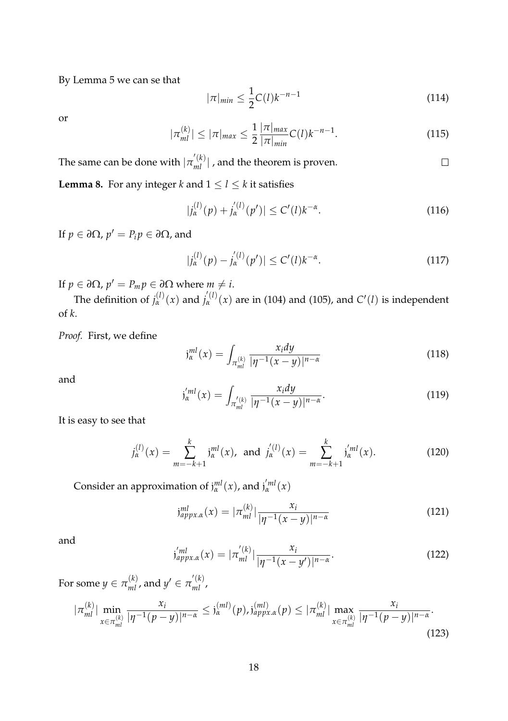By Lemma 5 we can se that

$$
|\pi|_{min} \le \frac{1}{2} C(l) k^{-n-1}
$$
 (114)

or

$$
|\pi_{ml}^{(k)}| \le |\pi|_{max} \le \frac{1}{2} \frac{|\pi|_{max}}{|\pi|_{min}} C(l) k^{-n-1}.
$$
 (115)

The same can be done with  $|\pi^{'}_{ml}|$  , and the theorem is proven.  $\Box$ 

**Lemma 8.** For any integer *k* and  $1 \le l \le k$  it satisfies

$$
|j_{\alpha}^{(l)}(p) + j_{\alpha}^{'(l)}(p')| \le C'(l)k^{-\alpha}.
$$
 (116)

 $\text{If } p \in \partial \Omega, p' = P_i p \in \partial \Omega \text{, and}$ 

$$
|j_{\alpha}^{(l)}(p) - j_{\alpha}^{(l)}(p')| \le C'(l)k^{-\alpha}.
$$
 (117)

If  $p \in \partial \Omega$ ,  $p' = P_m p \in \partial \Omega$  where  $m \neq i$ .

The definition of  $j_{\alpha}^{(l)}(x)$  and  $j_{\alpha}^{(l)}(x)$  are in (104) and (105), and  $C'(l)$  is independent of *k*.

*Proof.* First, we define

$$
j_{\alpha}^{ml}(x) = \int_{\pi_{ml}^{(k)}} \frac{x_i dy}{|\eta^{-1}(x - y)|^{n - \alpha}}
$$
(118)

and

$$
j_{\alpha}^{'ml}(x) = \int_{\pi_{ml}^{'(k)}} \frac{x_i dy}{|\eta^{-1}(x-y)|^{n-\alpha}}.
$$
\n(119)

It is easy to see that

$$
j_{\alpha}^{(l)}(x) = \sum_{m=-k+1}^{k} j_{\alpha}^{ml}(x), \text{ and } j_{\alpha}^{'(l)}(x) = \sum_{m=-k+1}^{k} j_{\alpha}^{'ml}(x). \tag{120}
$$

Consider an approximation of  $j_{\alpha}^{ml}(x)$ , and  $j_{\alpha}^{'ml}(x)$ 

$$
j_{appx,\alpha}^{ml}(x) = |\pi_{ml}^{(k)}| \frac{x_i}{|\eta^{-1}(x-y)|^{n-\alpha}}
$$
(121)

and

$$
j'_{approx,\alpha}(x) = |\pi'_{ml}| \frac{x_i}{|\eta^{-1}(x - y')|^{n - \alpha}}.
$$
\n(122)

For some  $y \in \pi_{ml}^{(k)}$ , and  $y' \in \pi_{ml}^{'(k)}$ ,

$$
|\pi_{ml}^{(k)}| \min_{x \in \pi_{ml}^{(k)}} \frac{x_i}{|\eta^{-1}(p-y)|^{n-\alpha}} \le j_\alpha^{(ml)}(p), j_{appx,\alpha}^{(ml)}(p) \le |\pi_{ml}^{(k)}| \max_{x \in \pi_{ml}^{(k)}} \frac{x_i}{|\eta^{-1}(p-y)|^{n-\alpha}}.
$$
\n(123)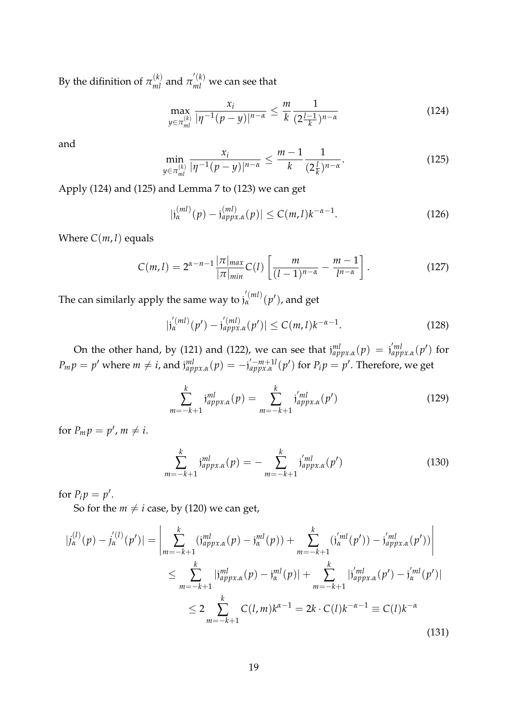By the difinition of  $\pi_{ml}^{(k)}$  and  $\pi_{ml}^{'(k)}$  we can see that

$$
\max_{y \in \pi_{ml}^{(k)}} \frac{x_i}{|\eta^{-1}(p-y)|^{n-\alpha}} \le \frac{m}{k} \frac{1}{(2\frac{l-1}{k})^{n-\alpha}}
$$
(124)

and

$$
\min_{y \in \pi_{ml}^{(k)}} \frac{x_i}{|\eta^{-1}(p-y)|^{n-\alpha}} \le \frac{m-1}{k} \frac{1}{(2\frac{1}{k})^{n-\alpha}}.
$$
\n(125)

Apply (124) and (125) and Lemma 7 to (123) we can get

$$
|j_{\alpha}^{(ml)}(p) - j_{appx,\alpha}^{(ml)}(p)| \le C(m,l)k^{-\alpha-1}.
$$
 (126)

Where  $C(m, l)$  equals

$$
C(m,l) = 2^{\alpha - n - 1} \frac{|\pi|_{max}}{|\pi|_{min}} C(l) \left[ \frac{m}{(l-1)^{n-\alpha}} - \frac{m-1}{l^{n-\alpha}} \right].
$$
 (127)

The can similarly apply the same way to  $j_{\alpha}^{'(ml)}(p')$ , and get

$$
|j_{\alpha}^{(ml)}(p') - j_{approx,\alpha}^{(ml)}(p')| \le C(m,l)k^{-\alpha-1}.
$$
 (128)

On the other hand, by (121) and (122), we can see that  $j_{appx,\alpha}^{ml}(p) = j_{appx,\alpha}^{'ml}(p')$  for  $P_m p = p'$  where  $m \neq i$ , and  $j_{appx,\alpha}^{ml}(p) = -j_{appx,\alpha}^{'-m+1l}(p')$  for  $P_i p = p'$ . Therefore, we get

$$
\sum_{m=-k+1}^{k} j_{appx,\alpha}^{ml}(p) = \sum_{m=-k+1}^{k} j_{appx,\alpha}'^{ml}(p')
$$
\n(129)

for  $P_m p = p'$ ,  $m \neq i$ .

$$
\sum_{m=-k+1}^{k} j_{appx,\alpha}^{ml}(p) = -\sum_{m=-k+1}^{k} j_{appx,\alpha}^{'ml}(p') \qquad (130)
$$

for  $P_i p = p'$ .

So for the  $m \neq i$  case, by (120) we can get,

$$
|j_{\alpha}^{(l)}(p) - j_{\alpha}^{'(l)}(p')| = \left| \sum_{m=-k+1}^{k} (j_{appx,\alpha}^{ml}(p) - j_{\alpha}^{ml}(p)) + \sum_{m=-k+1}^{k} (j_{\alpha}^{'ml}(p')) - j_{appx,\alpha}^{'ml}(p') \right|
$$
  

$$
\leq \sum_{m=-k+1}^{k} |j_{appx,\alpha}^{ml}(p) - j_{\alpha}^{ml}(p)| + \sum_{m=-k+1}^{k} |j_{appx,\alpha}^{'ml}(p') - j_{\alpha}^{'ml}(p')|
$$
  

$$
\leq 2 \sum_{m=-k+1}^{k} C(l,m)k^{\alpha-1} = 2k \cdot C(l)k^{-\alpha-1} \equiv C(l)k^{-\alpha}
$$
(131)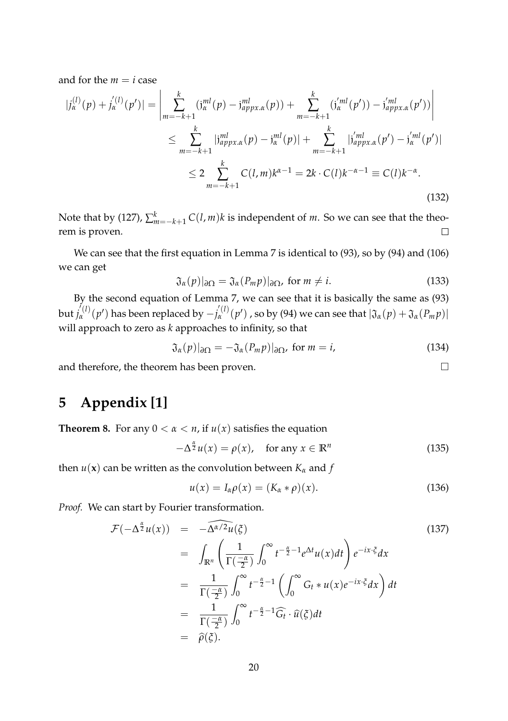and for the  $m = i$  case

$$
|j_{\alpha}^{(l)}(p) + j_{\alpha}^{'(l)}(p')| = \left| \sum_{m=-k+1}^{k} (j_{\alpha}^{ml}(p) - j_{appx,\alpha}^{ml}(p)) + \sum_{m=-k+1}^{k} (j_{\alpha}^{'ml}(p') - j_{appx,\alpha}^{'ml}(p')) \right|
$$
  

$$
\leq \sum_{m=-k+1}^{k} |j_{appx,\alpha}^{ml}(p) - j_{\alpha}^{ml}(p)| + \sum_{m=-k+1}^{k} |j_{appx,\alpha}^{'ml}(p') - j_{\alpha}^{'ml}(p')|
$$
  

$$
\leq 2 \sum_{m=-k+1}^{k} C(l,m)k^{\alpha-1} = 2k \cdot C(l)k^{-\alpha-1} \equiv C(l)k^{-\alpha}.
$$
 (132)

Note that by (127),  $\sum_{m=-k+1}^{k} C(l,m)k$  is independent of *m*. So we can see that the theorem is proven.

We can see that the first equation in Lemma 7 is identical to (93), so by (94) and (106) we can get

$$
\mathfrak{J}_{\alpha}(p)|_{\partial\Omega} = \mathfrak{J}_{\alpha}(P_m p)|_{\partial\Omega}, \text{ for } m \neq i.
$$
 (133)

By the second equation of Lemma 7, we can see that it is basically the same as (93)  $\int_{0}^{l} f(x) f(x) dx$  has been replaced by  $-j_{\alpha}^{'}(l)}(p')$  , so by (94) we can see that  $|\mathfrak{J}_{\alpha}(p) + \mathfrak{J}_{\alpha}(P_m p)|$ will approach to zero as *k* approaches to infinity, so that

$$
\mathfrak{J}_{\alpha}(p)|_{\partial\Omega} = -\mathfrak{J}_{\alpha}(P_m p)|_{\partial\Omega}, \text{ for } m = i,
$$
 (134)

and therefore, the theorem has been proven.

## **5 Appendix [1]**

**Theorem 8.** For any  $0 < \alpha < n$ , if  $u(x)$  satisfies the equation

$$
-\Delta^{\frac{\alpha}{2}}u(x) = \rho(x), \quad \text{for any } x \in \mathbb{R}^n \tag{135}
$$

then  $u(\mathbf{x})$  can be written as the convolution between  $K_{\alpha}$  and  $f$ 

$$
u(x) = I_{\alpha}\rho(x) = (K_{\alpha} * \rho)(x). \tag{136}
$$

*Proof.* We can start by Fourier transformation.

$$
\mathcal{F}(-\Delta^{\frac{\alpha}{2}}u(x)) = -\widehat{\Delta^{\alpha/2}u}(\xi)
$$
\n
$$
= \int_{\mathbb{R}^n} \left(\frac{1}{\Gamma(\frac{-\alpha}{2})}\int_0^\infty t^{-\frac{\alpha}{2}-1}e^{\Delta t}u(x)dt\right)e^{-ix\cdot\xi}dx
$$
\n
$$
= \frac{1}{\Gamma(\frac{-\alpha}{2})}\int_0^\infty t^{-\frac{\alpha}{2}-1}\left(\int_0^\infty G_t * u(x)e^{-ix\cdot\xi}dx\right)dt
$$
\n
$$
= \frac{1}{\Gamma(\frac{-\alpha}{2})}\int_0^\infty t^{-\frac{\alpha}{2}-1}\widehat{G}_t \cdot \widehat{u}(\xi)dt
$$
\n
$$
= \widehat{\rho}(\xi).
$$
\n(137)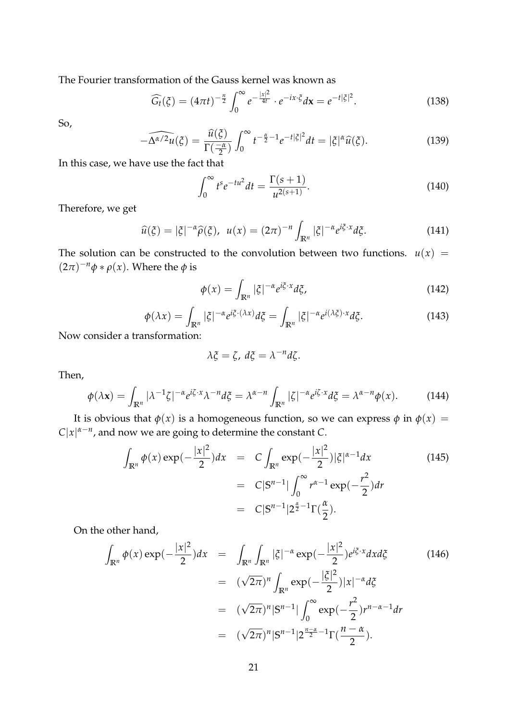The Fourier transformation of the Gauss kernel was known as

 $\overline{a}$ 

$$
\widehat{G}_t(\xi) = (4\pi t)^{-\frac{n}{2}} \int_0^\infty e^{-\frac{|x|^2}{4t}} \cdot e^{-ix\cdot\xi} d\mathbf{x} = e^{-t|\xi|^2}.
$$
 (138)

So,

$$
-\widehat{\Delta^{\alpha/2}u}(\xi) = \frac{\widehat{u}(\xi)}{\Gamma(\frac{-\alpha}{2})} \int_0^\infty t^{-\frac{\alpha}{2}-1} e^{-t|\xi|^2} dt = |\xi|^{\alpha} \widehat{u}(\xi). \tag{139}
$$

In this case, we have use the fact that

$$
\int_0^\infty t^s e^{-tu^2} dt = \frac{\Gamma(s+1)}{u^{2(s+1)}}.
$$
\n(140)

Therefore, we get

$$
\widehat{u}(\xi) = |\xi|^{-\alpha} \widehat{\rho}(\xi), \ \ u(x) = (2\pi)^{-n} \int_{\mathbb{R}^n} |\xi|^{-\alpha} e^{i\xi \cdot x} d\xi. \tag{141}
$$

The solution can be constructed to the convolution between two functions.  $u(x) =$  $(2\pi)^{-n}\phi * \rho(x)$ . Where the  $\phi$  is

$$
\phi(x) = \int_{\mathbb{R}^n} |\xi|^{-\alpha} e^{i\xi \cdot x} d\xi,
$$
\n(142)

$$
\phi(\lambda x) = \int_{\mathbb{R}^n} |\xi|^{-\alpha} e^{i\xi \cdot (\lambda x)} d\xi = \int_{\mathbb{R}^n} |\xi|^{-\alpha} e^{i(\lambda \xi) \cdot x} d\xi.
$$
\n(143)

Now consider a transformation:

$$
\lambda \xi = \zeta, \, d\xi = \lambda^{-n} d\zeta.
$$

Then,

$$
\phi(\lambda \mathbf{x}) = \int_{\mathbb{R}^n} |\lambda^{-1} \zeta|^{-\alpha} e^{i\zeta \cdot x} \lambda^{-n} d\zeta = \lambda^{\alpha - n} \int_{\mathbb{R}^n} |\zeta|^{-\alpha} e^{i\zeta \cdot x} d\zeta = \lambda^{\alpha - n} \phi(x). \tag{144}
$$

It is obvious that  $\phi(x)$  is a homogeneous function, so we can express  $\phi$  in  $\phi(x)$  =  $C|x|^{\alpha-n}$ , and now we are going to determine the constant *C*.

$$
\int_{\mathbb{R}^n} \phi(x) \exp(-\frac{|x|^2}{2}) dx = C \int_{\mathbb{R}^n} \exp(-\frac{|x|^2}{2}) |\xi|^{\alpha - 1} dx
$$
\n
$$
= C|S^{n-1}| \int_0^\infty r^{\alpha - 1} \exp(-\frac{r^2}{2}) dr
$$
\n
$$
= C|S^{n-1}| 2^{\frac{\alpha}{2} - 1} \Gamma(\frac{\alpha}{2}).
$$
\n(145)

On the other hand,

$$
\int_{\mathbb{R}^n} \phi(x) \exp(-\frac{|x|^2}{2}) dx = \int_{\mathbb{R}^n} \int_{\mathbb{R}^n} |\xi|^{-\alpha} \exp(-\frac{|x|^2}{2}) e^{i\xi \cdot x} dx d\xi
$$
\n
$$
= (\sqrt{2\pi})^n \int_{\mathbb{R}^n} \exp(-\frac{|\xi|^2}{2}) |x|^{-\alpha} d\xi
$$
\n
$$
= (\sqrt{2\pi})^n |S^{n-1}| \int_0^\infty \exp(-\frac{r^2}{2}) r^{n-\alpha-1} dr
$$
\n
$$
= (\sqrt{2\pi})^n |S^{n-1}| 2^{\frac{n-\alpha}{2}-1} \Gamma(\frac{n-\alpha}{2}).
$$
\n(146)